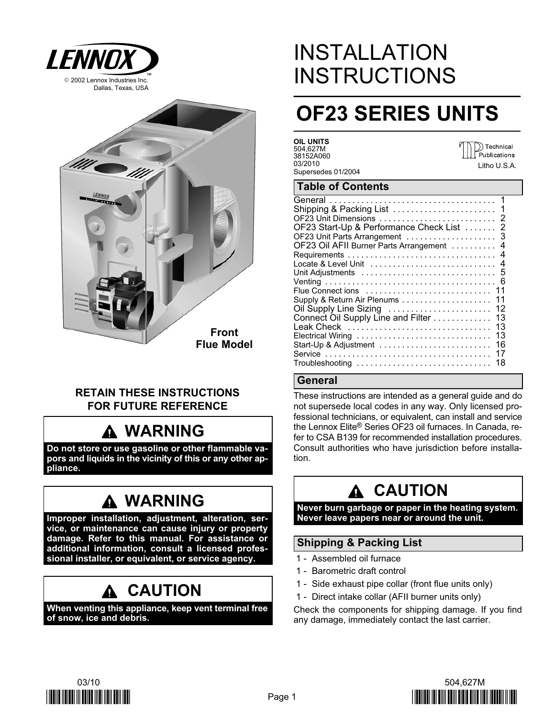

Front Flue Model

# RETAIN THESE INSTRUCTIONS FOR FUTURE REFERENCE

# WARNING

Do not store or use gasoline or other flammable vapors and liquids in the vicinity of this or any other appliance.

# WARNING

Improper installation, adjustment, alteration, service, or maintenance can cause injury or property damage. Refer to this manual. For assistance or additional information, consult a licensed professional installer, or equivalent, or service agency.

# **A CAUTION**

When venting this appliance, keep vent terminal free of snow, ice and debris.

# INSTALLATION **INSTRUCTIONS**

# OF23 SERIES UNITS

OIL UNITS 504,627M 38152A060 03/2010 Supersedes 01/2004

 $\bigcirc$  Technical Publications Litho U.S.A.

# Table of Contents

| OF23 Start-Up & Performance Check List  2                                                  |
|--------------------------------------------------------------------------------------------|
|                                                                                            |
| OF23 Oil AFII Burner Parts Arrangement  4                                                  |
|                                                                                            |
|                                                                                            |
|                                                                                            |
|                                                                                            |
|                                                                                            |
| Supply & Return Air Plenums 11                                                             |
|                                                                                            |
| Connect Oil Supply Line and Filter<br>13                                                   |
| 13                                                                                         |
| 13<br>Electrical Wiring                                                                    |
| 16<br>Start-Up & Adjustment                                                                |
| 17                                                                                         |
| 18<br>$Troubles hooting \dots \dots \dots \dots \dots \dots \dots \dots \dots \dots \dots$ |

# General

These instructions are intended as a general guide and do not supersede local codes in any way. Only licensed professional technicians, or equivalent, can install and service the Lennox Elite® Series OF23 oil furnaces. In Canada, refer to CSA B139 for recommended installation procedures. Consult authorities who have jurisdiction before installation.

# CAUTION

Never burn garbage or paper in the heating system. Never leave papers near or around the unit.

# Shipping & Packing List

- 1 − Assembled oil furnace
- 1 − Barometric draft control
- 1 Side exhaust pipe collar (front flue units only)
- 1 Direct intake collar (AFII burner units only)

Check the components for shipping damage. If you find any damage, immediately contact the last carrier.



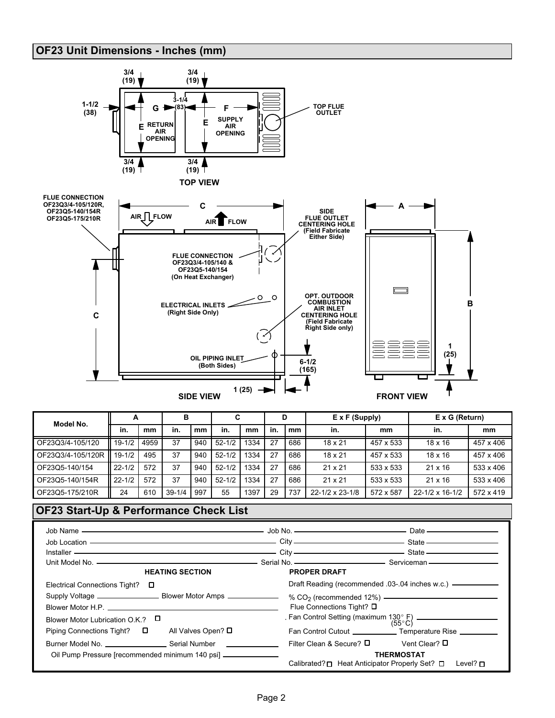# OF23 Unit Dimensions − Inches (mm)



| Model No.         |            |      | в          |     | C          |      | D   |     | $E \times F$ (Supply) |           | $E \times G$ (Return) |           |
|-------------------|------------|------|------------|-----|------------|------|-----|-----|-----------------------|-----------|-----------------------|-----------|
|                   | in.        | mm   | in.        | mm  | in.        | mm   | in. | mm  | in.                   | mm        | in.                   | mm        |
| OF23Q3/4-105/120  | $19 - 1/2$ | 4959 | 37         | 940 | $52 - 1/2$ | 1334 | 27  | 686 | $18 \times 21$        | 457 x 533 | $18 \times 16$        | 457 x 406 |
| OF23Q3/4-105/120R | $19 - 1/2$ | 495  | 37         | 940 | $52 - 1/2$ | 1334 | 27  | 686 | $18 \times 21$        | 457 x 533 | $18 \times 16$        | 457 x 406 |
| OF23Q5-140/154    | $22 - 1/2$ | 572  | 37         | 940 | $52 - 1/2$ | 1334 | 27  | 686 | $21 \times 21$        | 533 x 533 | $21 \times 16$        | 533 x 406 |
| OF23Q5-140/154R   | $22 - 1/2$ | 572  | 37         | 940 | $52 - 1/2$ | 1334 | 27  | 686 | $21 \times 21$        | 533 x 533 | $21 \times 16$        | 533 x 406 |
| OF23Q5-175/210R   | 24         | 610  | $39 - 1/4$ | 997 | 55         | 1397 | 29  | 737 | 22-1/2 x 23-1/8       | 572 x 587 | 22-1/2 x 16-1/2       | 572 x 419 |

### OF23 Start−Up & Performance Check List

| Job Location ————————————————————————City ——————————————————State ——————————————  |                               |                                                                                     |
|-----------------------------------------------------------------------------------|-------------------------------|-------------------------------------------------------------------------------------|
| Installer ————————————————————————————City ————————————————————State ———————————— |                               |                                                                                     |
|                                                                                   |                               |                                                                                     |
| <b>HEATING SECTION</b>                                                            | <b>PROPER DRAFT</b>           |                                                                                     |
| Electrical Connections Tight?<br>$\Box$                                           |                               | Draft Reading (recommended .03-.04 inches w.c.) —————————                           |
|                                                                                   |                               | % $CO2$ (recommended 12%) $\longrightarrow$                                         |
|                                                                                   | Flue Connections Tight? □     |                                                                                     |
| Blower Motor Lubrication O.K.? $\Box$                                             |                               |                                                                                     |
| All Valves Open? □<br>Piping Connections Tight? □                                 |                               | Fan Control Cutout ____________________ Temperature Rise ____________               |
|                                                                                   | Filter Clean & Secure? $\Box$ | Vent Clear? D                                                                       |
| Oil Pump Pressure [recommended minimum 140 psi] ________________________________  |                               | <b>THERMOSTAT</b><br>Calibrated? □ Heat Anticipator Properly Set? □<br>Level? $\Pi$ |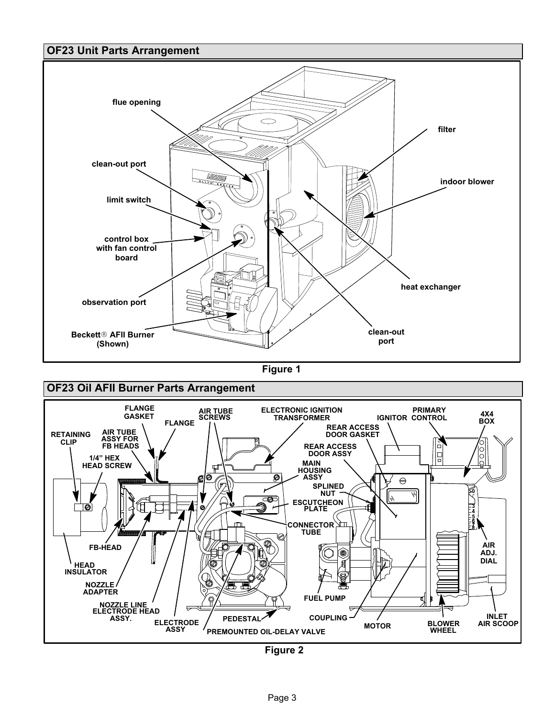# OF23 Unit Parts Arrangement



Figure 1



Figure 2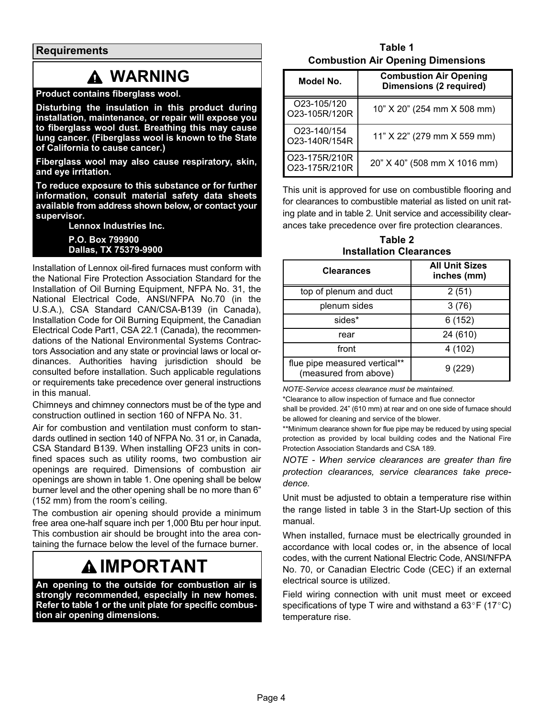**Requirements** 

# WARNING

### Product contains fiberglass wool.

Disturbing the insulation in this product during installation, maintenance, or repair will expose you to fiberglass wool dust. Breathing this may cause lung cancer. (Fiberglass wool is known to the State of California to cause cancer.)

Fiberglass wool may also cause respiratory, skin, and eye irritation.

To reduce exposure to this substance or for further information, consult material safety data sheets available from address shown below, or contact your supervisor.

Lennox Industries Inc.

P.O. Box 799900 Dallas, TX 75379−9900

Installation of Lennox oil−fired furnaces must conform with the National Fire Protection Association Standard for the Installation of Oil Burning Equipment, NFPA No. 31, the National Electrical Code, ANSI/NFPA No.70 (in the U.S.A.), CSA Standard CAN/CSA−B139 (in Canada), Installation Code for Oil Burning Equipment, the Canadian Electrical Code Part1, CSA 22.1 (Canada), the recommendations of the National Environmental Systems Contractors Association and any state or provincial laws or local ordinances. Authorities having jurisdiction should be consulted before installation. Such applicable regulations or requirements take precedence over general instructions in this manual.

Chimneys and chimney connectors must be of the type and construction outlined in section 160 of NFPA No. 31.

Air for combustion and ventilation must conform to standards outlined in section 140 of NFPA No. 31 or, in Canada, CSA Standard B139. When installing OF23 units in confined spaces such as utility rooms, two combustion air openings are required. Dimensions of combustion air openings are shown in table 1. One opening shall be below burner level and the other opening shall be no more than 6" (152 mm) from the room's ceiling.

The combustion air opening should provide a minimum free area one-half square inch per 1,000 Btu per hour input. This combustion air should be brought into the area containing the furnace below the level of the furnace burner.

# IMPORTANT

An opening to the outside for combustion air is strongly recommended, especially in new homes. Refer to table 1 or the unit plate for specific combustion air opening dimensions.

Table 1 Combustion Air Opening Dimensions

| Model No.                                 | <b>Combustion Air Opening</b><br><b>Dimensions (2 required)</b> |
|-------------------------------------------|-----------------------------------------------------------------|
| O23-105/120<br>O23-105R/120R              | 10" X 20" (254 mm X 508 mm)                                     |
| O <sub>23</sub> -140/154<br>O23-140R/154R | 11" X 22" (279 mm X 559 mm)                                     |
| O23-175R/210R<br>O23-175R/210R            | 20" X 40" (508 mm X 1016 mm)                                    |

This unit is approved for use on combustible flooring and for clearances to combustible material as listed on unit rating plate and in table 2. Unit service and accessibility clearances take precedence over fire protection clearances.

Table 2 Installation Clearances

| <b>Clearances</b>                                      | <b>All Unit Sizes</b><br>inches (mm) |
|--------------------------------------------------------|--------------------------------------|
| top of plenum and duct                                 | 2(51)                                |
| plenum sides                                           | 3(76)                                |
| sides*                                                 | 6(152)                               |
| rear                                                   | 24 (610)                             |
| front                                                  | 4(102)                               |
| flue pipe measured vertical**<br>(measured from above) | 9 (229)                              |

NOTE−Service access clearance must be maintained.

\*Clearance to allow inspection of furnace and flue connector

shall be provided. 24" (610 mm) at rear and on one side of furnace should be allowed for cleaning and service of the blower.

\*\*Minimum clearance shown for flue pipe may be reduced by using special protection as provided by local building codes and the National Fire Protection Association Standards and CSA 189.

NOTE − When service clearances are greater than fire protection clearances, service clearances take precedence.

Unit must be adjusted to obtain a temperature rise within the range listed in table 3 in the Start-Up section of this manual.

When installed, furnace must be electrically grounded in accordance with local codes or, in the absence of local codes, with the current National Electric Code, ANSI/NFPA No. 70, or Canadian Electric Code (CEC) if an external electrical source is utilized.

Field wiring connection with unit must meet or exceed specifications of type T wire and withstand a  $63^{\circ}F$  (17 $^{\circ}C$ ) temperature rise.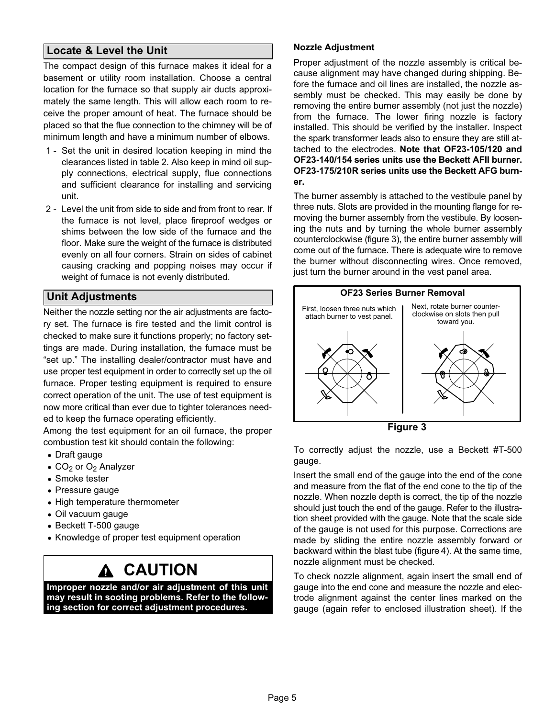# Locate & Level the Unit

The compact design of this furnace makes it ideal for a basement or utility room installation. Choose a central location for the furnace so that supply air ducts approximately the same length. This will allow each room to receive the proper amount of heat. The furnace should be placed so that the flue connection to the chimney will be of minimum length and have a minimum number of elbows.

- 1 Set the unit in desired location keeping in mind the clearances listed in table 2. Also keep in mind oil supply connections, electrical supply, flue connections and sufficient clearance for installing and servicing unit.
- 2 − Level the unit from side to side and from front to rear. If the furnace is not level, place fireproof wedges or shims between the low side of the furnace and the floor. Make sure the weight of the furnace is distributed evenly on all four corners. Strain on sides of cabinet causing cracking and popping noises may occur if weight of furnace is not evenly distributed.

# Unit Adjustments

Neither the nozzle setting nor the air adjustments are factory set. The furnace is fire tested and the limit control is checked to make sure it functions properly; no factory settings are made. During installation, the furnace must be -set up." The installing dealer/contractor must have and use proper test equipment in order to correctly set up the oil furnace. Proper testing equipment is required to ensure correct operation of the unit. The use of test equipment is now more critical than ever due to tighter tolerances needed to keep the furnace operating efficiently.

Among the test equipment for an oil furnace, the proper combustion test kit should contain the following:

- Draft gauge
- $\bullet$  CO<sub>2</sub> or O<sub>2</sub> Analyzer
- Smoke tester
- Pressure gauge
- High temperature thermometer
- Oil vacuum gauge
- Beckett T−500 gauge
- Knowledge of proper test equipment operation

# CAUTION

Improper nozzle and/or air adjustment of this unit may result in sooting problems. Refer to the following section for correct adjustment procedures.

#### Nozzle Adjustment

Proper adjustment of the nozzle assembly is critical because alignment may have changed during shipping. Before the furnace and oil lines are installed, the nozzle assembly must be checked. This may easily be done by removing the entire burner assembly (not just the nozzle) from the furnace. The lower firing nozzle is factory installed. This should be verified by the installer. Inspect the spark transformer leads also to ensure they are still attached to the electrodes. Note that OF23−105/120 and OF23−140/154 series units use the Beckett AFII burner. OF23−175/210R series units use the Beckett AFG burner.

The burner assembly is attached to the vestibule panel by three nuts. Slots are provided in the mounting flange for removing the burner assembly from the vestibule. By loosening the nuts and by turning the whole burner assembly counterclockwise (figure 3), the entire burner assembly will come out of the furnace. There is adequate wire to remove the burner without disconnecting wires. Once removed, just turn the burner around in the vest panel area.



Figure 3

To correctly adjust the nozzle, use a Beckett #T−500 gauge.

Insert the small end of the gauge into the end of the cone and measure from the flat of the end cone to the tip of the nozzle. When nozzle depth is correct, the tip of the nozzle should just touch the end of the gauge. Refer to the illustration sheet provided with the gauge. Note that the scale side of the gauge is not used for this purpose. Corrections are made by sliding the entire nozzle assembly forward or backward within the blast tube (figure [4\)](#page-5-0). At the same time, nozzle alignment must be checked.

To check nozzle alignment, again insert the small end of gauge into the end cone and measure the nozzle and electrode alignment against the center lines marked on the gauge (again refer to enclosed illustration sheet). If the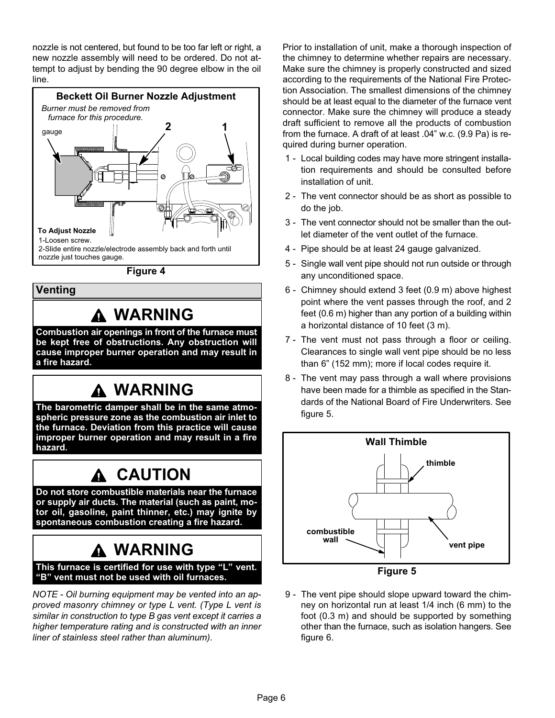<span id="page-5-0"></span>nozzle is not centered, but found to be too far left or right, a new nozzle assembly will need to be ordered. Do not attempt to adjust by bending the 90 degree elbow in the oil line.



Figure 4

# Venting

# WARNING

Combustion air openings in front of the furnace must be kept free of obstructions. Any obstruction will cause improper burner operation and may result in a fire hazard.

# **A WARNING**

The barometric damper shall be in the same atmospheric pressure zone as the combustion air inlet to the furnace. Deviation from this practice will cause improper burner operation and may result in a fire hazard.

# CAUTION

Do not store combustible materials near the furnace or supply air ducts. The material (such as paint, motor oil, gasoline, paint thinner, etc.) may ignite by spontaneous combustion creating a fire hazard.

# WARNING

This furnace is certified for use with type "L" vent. -B" vent must not be used with oil furnaces.

NOTE − Oil burning equipment may be vented into an approved masonry chimney or type L vent. (Type L vent is similar in construction to type B gas vent except it carries a higher temperature rating and is constructed with an inner liner of stainless steel rather than aluminum).

Prior to installation of unit, make a thorough inspection of the chimney to determine whether repairs are necessary. Make sure the chimney is properly constructed and sized according to the requirements of the National Fire Protection Association. The smallest dimensions of the chimney should be at least equal to the diameter of the furnace vent connector. Make sure the chimney will produce a steady draft sufficient to remove all the products of combustion from the furnace. A draft of at least .04" w.c. (9.9 Pa) is required during burner operation.

- 1 − Local building codes may have more stringent installation requirements and should be consulted before installation of unit.
- 2 The vent connector should be as short as possible to do the job.
- 3 − The vent connector should not be smaller than the outlet diameter of the vent outlet of the furnace.
- 4 − Pipe should be at least 24 gauge galvanized.
- 5 − Single wall vent pipe should not run outside or through any unconditioned space.
- 6 − Chimney should extend 3 feet (0.9 m) above highest point where the vent passes through the roof, and 2 feet (0.6 m) higher than any portion of a building within a horizontal distance of 10 feet (3 m).
- 7 The vent must not pass through a floor or ceiling. Clearances to single wall vent pipe should be no less than 6" (152 mm); more if local codes require it.
- 8 The vent may pass through a wall where provisions have been made for a thimble as specified in the Standards of the National Board of Fire Underwriters. See figure 5.



- Figure 5
- 9 The vent pipe should slope upward toward the chimney on horizontal run at least 1/4 inch (6 mm) to the foot (0.3 m) and should be supported by something other than the furnace, such as isolation hangers. See figure [6.](#page-6-0)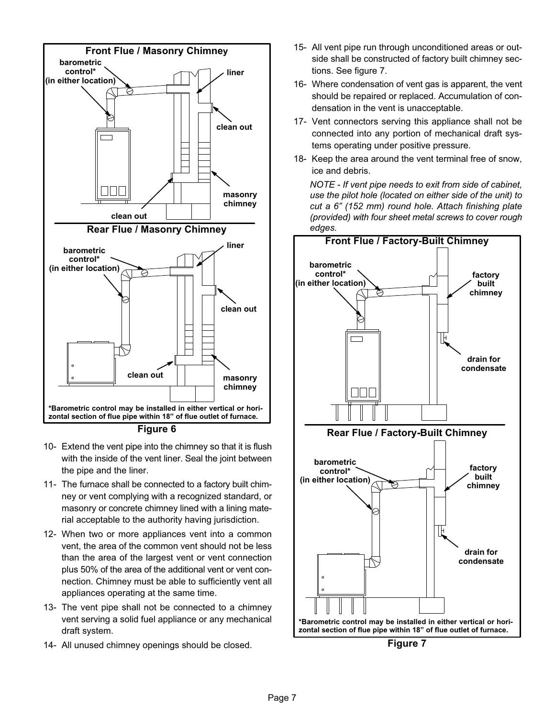<span id="page-6-0"></span>

Figure 6

- 10− Extend the vent pipe into the chimney so that it is flush with the inside of the vent liner. Seal the joint between the pipe and the liner.
- 11− The furnace shall be connected to a factory built chimney or vent complying with a recognized standard, or masonry or concrete chimney lined with a lining material acceptable to the authority having jurisdiction.
- 12− When two or more appliances vent into a common vent, the area of the common vent should not be less than the area of the largest vent or vent connection plus 50% of the area of the additional vent or vent connection. Chimney must be able to sufficiently vent all appliances operating at the same time.
- 13− The vent pipe shall not be connected to a chimney vent serving a solid fuel appliance or any mechanical draft system.
- 14− All unused chimney openings should be closed.
- 15− All vent pipe run through unconditioned areas or outside shall be constructed of factory built chimney sections. See figure 7.
- 16− Where condensation of vent gas is apparent, the vent should be repaired or replaced. Accumulation of condensation in the vent is unacceptable.
- 17− Vent connectors serving this appliance shall not be connected into any portion of mechanical draft systems operating under positive pressure.
- 18− Keep the area around the vent terminal free of snow, ice and debris.

NOTE − If vent pipe needs to exit from side of cabinet, use the pilot hole (located on either side of the unit) to cut a 6" (152 mm) round hole. Attach finishing plate (provided) with four sheet metal screws to cover rough edges.



Figure 7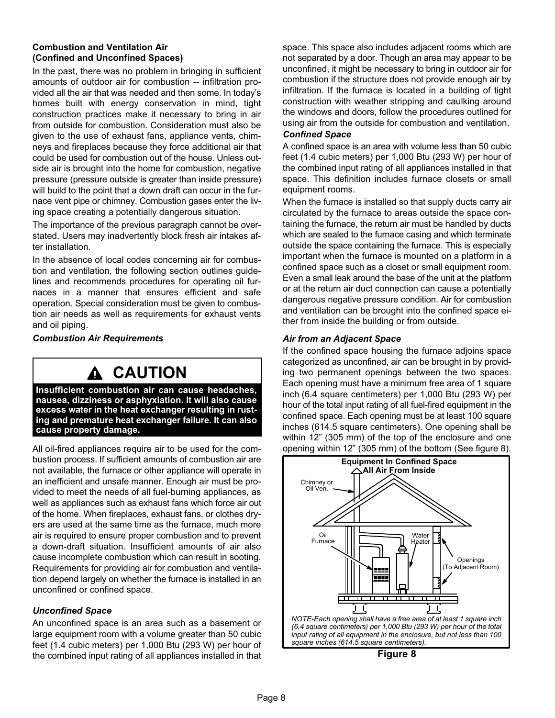### Combustion and Ventilation Air (Confined and Unconfined Spaces)

In the past, there was no problem in bringing in sufficient amounts of outdoor air for combustion −− infiltration provided all the air that was needed and then some. In today's homes built with energy conservation in mind, tight construction practices make it necessary to bring in air from outside for combustion. Consideration must also be given to the use of exhaust fans, appliance vents, chimneys and fireplaces because they force additional air that could be used for combustion out of the house. Unless outside air is brought into the home for combustion, negative pressure (pressure outside is greater than inside pressure) will build to the point that a down draft can occur in the furnace vent pipe or chimney. Combustion gases enter the living space creating a potentially dangerous situation.

The importance of the previous paragraph cannot be overstated. Users may inadvertently block fresh air intakes after installation.

In the absence of local codes concerning air for combustion and ventilation, the following section outlines guidelines and recommends procedures for operating oil furnaces in a manner that ensures efficient and safe operation. Special consideration must be given to combustion air needs as well as requirements for exhaust vents and oil piping.

Combustion Air Requirements

# A CAUTION

Insufficient combustion air can cause headaches, nausea, dizziness or asphyxiation. It will also cause excess water in the heat exchanger resulting in rusting and premature heat exchanger failure. It can also cause property damage.

All oil-fired appliances require air to be used for the combustion process. If sufficient amounts of combustion air are not available, the furnace or other appliance will operate in an inefficient and unsafe manner. Enough air must be provided to meet the needs of all fuel-burning appliances, as well as appliances such as exhaust fans which force air out of the home. When fireplaces, exhaust fans, or clothes dryers are used at the same time as the furnace, much more air is required to ensure proper combustion and to prevent a down-draft situation. Insufficient amounts of air also cause incomplete combustion which can result in sooting. Requirements for providing air for combustion and ventilation depend largely on whether the furnace is installed in an unconfined or confined space.

### Unconfined Space

An unconfined space is an area such as a basement or large equipment room with a volume greater than 50 cubic feet (1.4 cubic meters) per 1,000 Btu (293 W) per hour of the combined input rating of all appliances installed in that space. This space also includes adjacent rooms which are not separated by a door. Though an area may appear to be unconfined, it might be necessary to bring in outdoor air for combustion if the structure does not provide enough air by infiltration. If the furnace is located in a building of tight construction with weather stripping and caulking around the windows and doors, follow the procedures outlined for using air from the outside for combustion and ventilation.

### Confined Space

A confined space is an area with volume less than 50 cubic feet (1.4 cubic meters) per 1,000 Btu (293 W) per hour of the combined input rating of all appliances installed in that space. This definition includes furnace closets or small equipment rooms.

When the furnace is installed so that supply ducts carry air circulated by the furnace to areas outside the space containing the furnace, the return air must be handled by ducts which are sealed to the furnace casing and which terminate outside the space containing the furnace. This is especially important when the furnace is mounted on a platform in a confined space such as a closet or small equipment room. Even a small leak around the base of the unit at the platform or at the return air duct connection can cause a potentially dangerous negative pressure condition. Air for combustion and ventilation can be brought into the confined space either from inside the building or from outside.

### Air from an Adjacent Space

If the confined space housing the furnace adjoins space categorized as unconfined, air can be brought in by providing two permanent openings between the two spaces. Each opening must have a minimum free area of 1 square inch (6.4 square centimeters) per 1,000 Btu (293 W) per hour of the total input rating of all fuel-fired equipment in the confined space. Each opening must be at least 100 square inches (614.5 square centimeters). One opening shall be within 12" (305 mm) of the top of the enclosure and one opening within 12" (305 mm) of the bottom (See figure 8).



Figure 8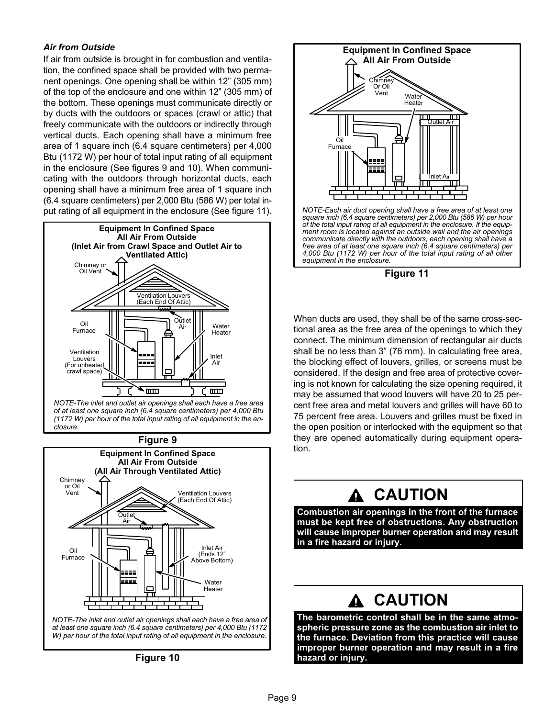### Air from Outside

If air from outside is brought in for combustion and ventilation, the confined space shall be provided with two permanent openings. One opening shall be within 12" (305 mm) of the top of the enclosure and one within 12" (305 mm) of the bottom. These openings must communicate directly or by ducts with the outdoors or spaces (crawl or attic) that freely communicate with the outdoors or indirectly through vertical ducts. Each opening shall have a minimum free area of 1 square inch (6.4 square centimeters) per 4,000 Btu (1172 W) per hour of total input rating of all equipment in the enclosure (See figures 9 and 10). When communicating with the outdoors through horizontal ducts, each opening shall have a minimum free area of 1 square inch (6.4 square centimeters) per 2,000 Btu (586 W) per total input rating of all equipment in the enclosure (See figure 11).



NOTE−The inlet and outlet air openings shall each have a free area of at least one square inch (6.4 square centimeters) per 4,000 Btu (1172 W) per hour of the total input rating of all equipment in the enclosure.

#### Figure 9





Figure 10



Figure 11

4,000 Btu (1172 W) per hour of the total input rating of all other

equipment in the enclosure.

When ducts are used, they shall be of the same cross−sectional area as the free area of the openings to which they connect. The minimum dimension of rectangular air ducts shall be no less than 3" (76 mm). In calculating free area, the blocking effect of louvers, grilles, or screens must be considered. If the design and free area of protective covering is not known for calculating the size opening required, it may be assumed that wood louvers will have 20 to 25 percent free area and metal louvers and grilles will have 60 to 75 percent free area. Louvers and grilles must be fixed in the open position or interlocked with the equipment so that they are opened automatically during equipment operation.

# CAUTION

Combustion air openings in the front of the furnace must be kept free of obstructions. Any obstruction will cause improper burner operation and may result in a fire hazard or injury.

# **A CAUTION**

The barometric control shall be in the same atmospheric pressure zone as the combustion air inlet to the furnace. Deviation from this practice will cause improper burner operation and may result in a fire hazard or injury.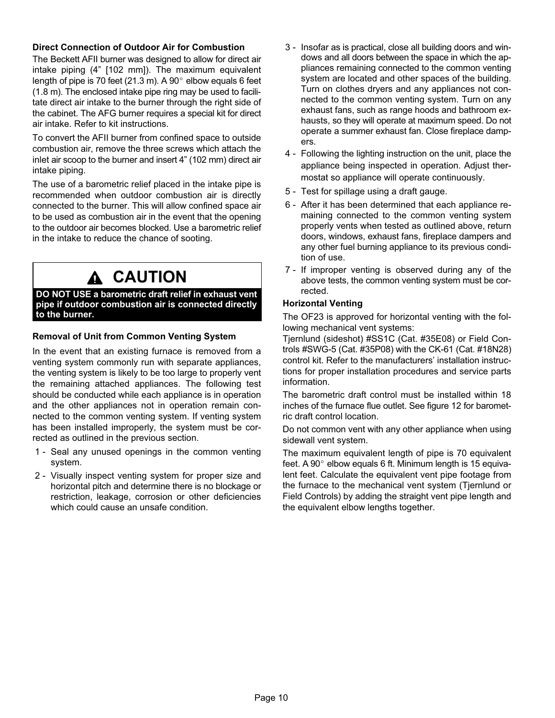### Direct Connection of Outdoor Air for Combustion

The Beckett AFII burner was designed to allow for direct air intake piping (4" [102 mm]). The maximum equivalent length of pipe is 70 feet (21.3 m). A 90 $^{\circ}$  elbow equals 6 feet (1.8 m). The enclosed intake pipe ring may be used to facilitate direct air intake to the burner through the right side of the cabinet. The AFG burner requires a special kit for direct air intake. Refer to kit instructions.

To convert the AFII burner from confined space to outside combustion air, remove the three screws which attach the inlet air scoop to the burner and insert 4" (102 mm) direct air intake piping.

The use of a barometric relief placed in the intake pipe is recommended when outdoor combustion air is directly connected to the burner. This will allow confined space air to be used as combustion air in the event that the opening to the outdoor air becomes blocked. Use a barometric relief in the intake to reduce the chance of sooting.

# A CAUTION

DO NOT USE a barometric draft relief in exhaust vent pipe if outdoor combustion air is connected directly to the burner.

### Removal of Unit from Common Venting System

In the event that an existing furnace is removed from a venting system commonly run with separate appliances, the venting system is likely to be too large to properly vent the remaining attached appliances. The following test should be conducted while each appliance is in operation and the other appliances not in operation remain connected to the common venting system. If venting system has been installed improperly, the system must be corrected as outlined in the previous section.

- 1 Seal any unused openings in the common venting system.
- 2 Visually inspect venting system for proper size and horizontal pitch and determine there is no blockage or restriction, leakage, corrosion or other deficiencies which could cause an unsafe condition.
- 3 − Insofar as is practical, close all building doors and windows and all doors between the space in which the appliances remaining connected to the common venting system are located and other spaces of the building. Turn on clothes dryers and any appliances not connected to the common venting system. Turn on any exhaust fans, such as range hoods and bathroom exhausts, so they will operate at maximum speed. Do not operate a summer exhaust fan. Close fireplace dampers.
- 4 − Following the lighting instruction on the unit, place the appliance being inspected in operation. Adjust thermostat so appliance will operate continuously.
- 5 − Test for spillage using a draft gauge.
- 6 − After it has been determined that each appliance remaining connected to the common venting system properly vents when tested as outlined above, return doors, windows, exhaust fans, fireplace dampers and any other fuel burning appliance to its previous condition of use.
- 7 − If improper venting is observed during any of the above tests, the common venting system must be corrected.

### Horizontal Venting

The OF23 is approved for horizontal venting with the following mechanical vent systems:

Tjernlund (sideshot) #SS1C (Cat. #35E08) or Field Controls #SWG−5 (Cat. #35P08) with the CK−61 (Cat. #18N28) control kit. Refer to the manufacturers' installation instructions for proper installation procedures and service parts information.

The barometric draft control must be installed within 18 inches of the furnace flue outlet. See figure [12](#page-10-0) for barometric draft control location.

Do not common vent with any other appliance when using sidewall vent system.

The maximum equivalent length of pipe is 70 equivalent feet. A 90 $^{\circ}$  elbow equals 6 ft. Minimum length is 15 equivalent feet. Calculate the equivalent vent pipe footage from the furnace to the mechanical vent system (Tjernlund or Field Controls) by adding the straight vent pipe length and the equivalent elbow lengths together.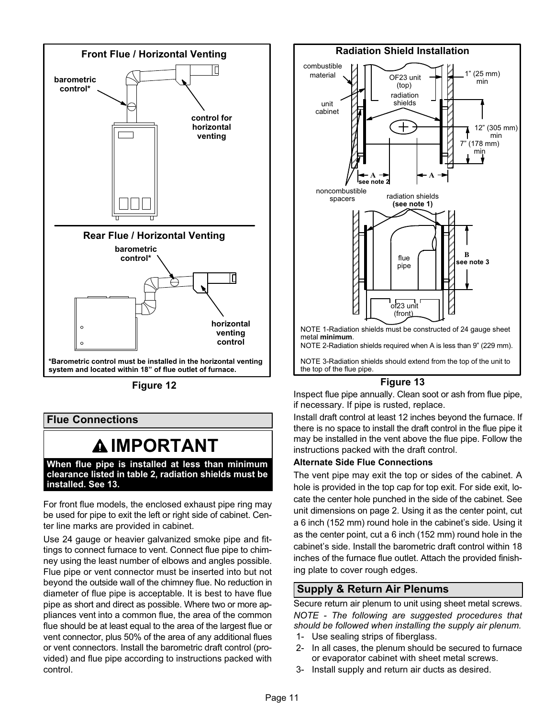<span id="page-10-0"></span>

Figure 12

### Flue Connections

# **AIMPORTANT**

When flue pipe is installed at less than minimum clearance listed in table 2, radiation shields must be installed. See 13.

For front flue models, the enclosed exhaust pipe ring may be used for pipe to exit the left or right side of cabinet. Center line marks are provided in cabinet.

Use 24 gauge or heavier galvanized smoke pipe and fittings to connect furnace to vent. Connect flue pipe to chimney using the least number of elbows and angles possible. Flue pipe or vent connector must be inserted into but not beyond the outside wall of the chimney flue. No reduction in diameter of flue pipe is acceptable. It is best to have flue pipe as short and direct as possible. Where two or more appliances vent into a common flue, the area of the common flue should be at least equal to the area of the largest flue or vent connector, plus 50% of the area of any additional flues or vent connectors. Install the barometric draft control (provided) and flue pipe according to instructions packed with control.



Inspect flue pipe annually. Clean soot or ash from flue pipe, if necessary. If pipe is rusted, replace.

Install draft control at least 12 inches beyond the furnace. If there is no space to install the draft control in the flue pipe it may be installed in the vent above the flue pipe. Follow the instructions packed with the draft control.

### Alternate Side Flue Connections

The vent pipe may exit the top or sides of the cabinet. A hole is provided in the top cap for top exit. For side exit, locate the center hole punched in the side of the cabinet. See unit dimensions on page 2. Using it as the center point, cut a 6 inch (152 mm) round hole in the cabinet's side. Using it as the center point, cut a 6 inch (152 mm) round hole in the cabinet's side. Install the barometric draft control within 18 inches of the furnace flue outlet. Attach the provided finishing plate to cover rough edges.

# Supply & Return Air Plenums

Secure return air plenum to unit using sheet metal screws. NOTE − The following are suggested procedures that should be followed when installing the supply air plenum.

- 1− Use sealing strips of fiberglass.
- 2− In all cases, the plenum should be secured to furnace or evaporator cabinet with sheet metal screws.
- 3− Install supply and return air ducts as desired.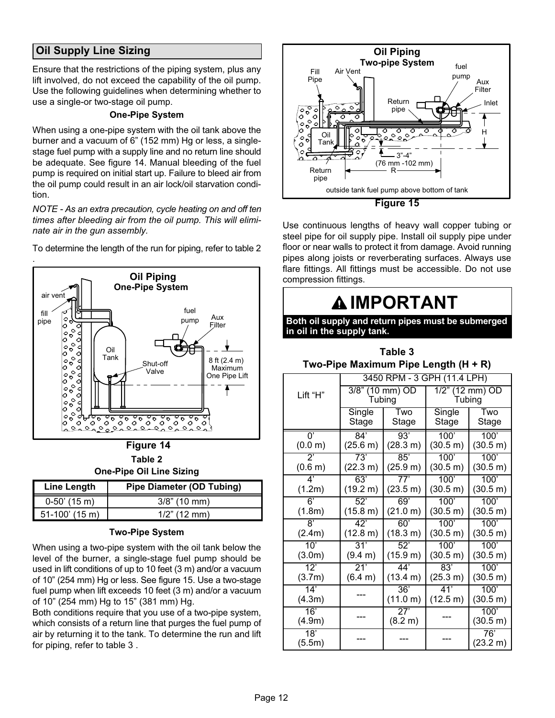# <span id="page-11-0"></span>Oil Supply Line Sizing

Ensure that the restrictions of the piping system, plus any lift involved, do not exceed the capability of the oil pump. Use the following guidelines when determining whether to use a single−or two−stage oil pump.

### One−Pipe System

When using a one−pipe system with the oil tank above the burner and a vacuum of 6" (152 mm) Hg or less, a single− stage fuel pump with a supply line and no return line should be adequate. See figure 14. Manual bleeding of the fuel pump is required on initial start up. Failure to bleed air from the oil pump could result in an air lock/oil starvation condition.

NOTE − As an extra precaution, cycle heating on and off ten times after bleeding air from the oil pump. This will eliminate air in the gun assembly.



To determine the length of the run for piping, refer to table 2

Table 2 One−Pipe Oil Line Sizing

| <b>Line Length</b> | <b>Pipe Diameter (OD Tubing)</b> |
|--------------------|----------------------------------|
| $0-50'$ (15 m)     | $3/8$ " (10 mm)                  |
| $51-100'$ (15 m)   | $1/2$ " (12 mm)                  |

### Two−Pipe System

When using a two−pipe system with the oil tank below the level of the burner, a single−stage fuel pump should be used in lift conditions of up to 10 feet (3 m) and/or a vacuum of 10" (254 mm) Hg or less. See figure 15. Use a two−stage fuel pump when lift exceeds 10 feet (3 m) and/or a vacuum of 10" (254 mm) Hg to 15" (381 mm) Hg.

Both conditions require that you use of a two−pipe system, which consists of a return line that purges the fuel pump of air by returning it to the tank. To determine the run and lift for piping, refer to table 3 .



Use continuous lengths of heavy wall copper tubing or steel pipe for oil supply pipe. Install oil supply pipe under floor or near walls to protect it from damage. Avoid running pipes along joists or reverberating surfaces. Always use flare fittings. All fittings must be accessible. Do not use compression fittings.

 $\frac{1}{2}$   $\frac{1}{2}$   $\frac{1}{2}$   $\frac{1}{2}$   $\frac{1}{2}$   $\frac{1}{2}$   $\frac{1}{2}$   $\frac{1}{2}$   $\frac{1}{2}$   $\frac{1}{2}$   $\frac{1}{2}$   $\frac{1}{2}$   $\frac{1}{2}$   $\frac{1}{2}$   $\frac{1}{2}$   $\frac{1}{2}$   $\frac{1}{2}$   $\frac{1}{2}$   $\frac{1}{2}$   $\frac{1}{2}$   $\frac{1}{2}$   $\frac{1}{2}$ 

Table 3

| ြင်္ချီ<br>$\overline{\bigg  \begin{matrix} 0 & 0 \\ 0 & 0 \\ 0 & 0 \end{matrix}} \bigg $                                                                                                                                                                                                                                    | Tank<br>Shut-off<br>Valve                                                                                | 8 ft (2.4 m)<br>Maximum | Two-Pipe Maximum Pipe Length (H + R) |                            |                              |                             |                  |                      |
|------------------------------------------------------------------------------------------------------------------------------------------------------------------------------------------------------------------------------------------------------------------------------------------------------------------------------|----------------------------------------------------------------------------------------------------------|-------------------------|--------------------------------------|----------------------------|------------------------------|-----------------------------|------------------|----------------------|
| ช≏<br>$\circ$<br>O                                                                                                                                                                                                                                                                                                           |                                                                                                          | One Pipe Lift           |                                      |                            |                              | 3450 RPM - 3 GPH (11.4 LPH) |                  |                      |
| $\begin{array}{c} \left\vert \phi \right\vert _{\mathsf{Q}}\mathsf{Q} \\ \left\vert \phi \right\vert _{\mathsf{Q}} \mathsf{Q} \end{array}$<br>$\overline{\begin{matrix} 0 & 0 \\ 0 & 0 \\ 0 & 0 \end{matrix}}$                                                                                                               |                                                                                                          |                         |                                      | Lift "H"                   | $3/8$ " (10 mm) OD<br>Tubing |                             | 1/2"<br>Tubing   | $(12 \text{ mm})$ OD |
| O<br>ୄୄୄୄ                                                                                                                                                                                                                                                                                                                    | ० <i>ँ</i> ० <i>ँ</i> ० <i>ँ</i> ०ँ०ँ०ँ०ँ०ँ<br><u>ञ्हरुष</u><br>$\circ^{\circ}$<br>ంె<br>$\sim$          |                         |                                      |                            | Single<br>Stage              | Two<br>Stage                | Single<br>Stage  | Two<br>Stage         |
|                                                                                                                                                                                                                                                                                                                              | Figure 14                                                                                                |                         |                                      | $\overline{0}$<br>(0.0 m)  | 84'<br>(25.6 m)              | 93'<br>(28.3 m)             | 100'<br>(30.5 m) | 100'<br>(30.5 m)     |
|                                                                                                                                                                                                                                                                                                                              | Table 2<br><b>One-Pipe Oil Line Sizing</b>                                                               |                         |                                      | $2^{\prime}$<br>(0.6 m)    | 73'<br>(22.3 m)              | 85'<br>(25.9 m)             | 100'<br>(30.5 m) | 100'<br>(30.5 m)     |
| e Length                                                                                                                                                                                                                                                                                                                     | <b>Pipe Diameter (OD Tubing)</b>                                                                         |                         |                                      | 4'<br>(1.2m)               | 63'<br>(19.2 m)              | 77'<br>(23.5 m)             | 100'<br>(30.5 m) | 100'<br>(30.5 m)     |
| 50' (15 m)                                                                                                                                                                                                                                                                                                                   | $3/8$ " (10 mm)                                                                                          |                         |                                      | 6'                         | 52'                          | 69'                         | 100'             | 100'                 |
| 100' (15 m)                                                                                                                                                                                                                                                                                                                  | $1/2$ " (12 mm)                                                                                          |                         |                                      | (1.8m)                     | (15.8 m)                     | (21.0 m)                    | (30.5 m)         | (30.5 m)             |
|                                                                                                                                                                                                                                                                                                                              | <b>Two-Pipe System</b>                                                                                   |                         |                                      | $\overline{8}$<br>(2.4m)   | 42'<br>(12.8 m)              | 60'<br>(18.3 m)             | 100'<br>(30.5 m) | 100'<br>(30.5 m)     |
|                                                                                                                                                                                                                                                                                                                              | using a two-pipe system with the oil tank below the<br>of the burner, a single-stage fuel pump should be |                         |                                      | 10'<br>(3.0m)              | 31'<br>(9.4 m)               | 52'<br>(15.9 m)             | 100'<br>(30.5 m) | 100'<br>(30.5 m)     |
| n lift conditions of up to 10 feet (3 m) and/or a vacuum<br>(254 mm) Hg or less. See figure 15. Use a two-stage<br>ump when lift exceeds 10 feet (3 m) and/or a vacuum<br>(254 mm) Hg to 15" (381 mm) Hg.<br>conditions require that you use of a two-pipe system,<br>consists of a return line that purges the fuel pump of |                                                                                                          |                         |                                      | $\overline{12'}$<br>(3.7m) | 21'<br>(6.4 m)               | 44'<br>(13.4 m)             | 83'<br>(25.3 m)  | 100'<br>(30.5 m)     |
|                                                                                                                                                                                                                                                                                                                              |                                                                                                          |                         |                                      | 14'<br>(4.3m)              |                              | 36'<br>(11.0 m)             | 41'<br>(12.5 m)  | 100'<br>(30.5 m)     |
|                                                                                                                                                                                                                                                                                                                              |                                                                                                          |                         |                                      | 16'<br>(4.9m)              |                              | 27'<br>(8.2 m)              |                  | 100'<br>(30.5 m)     |
| returning it to the tank. To determine the run and lift<br>oing, refer to table 3.                                                                                                                                                                                                                                           |                                                                                                          |                         |                                      | 18'<br>(5.5m)              |                              |                             |                  | 76'<br>(23.2 m)      |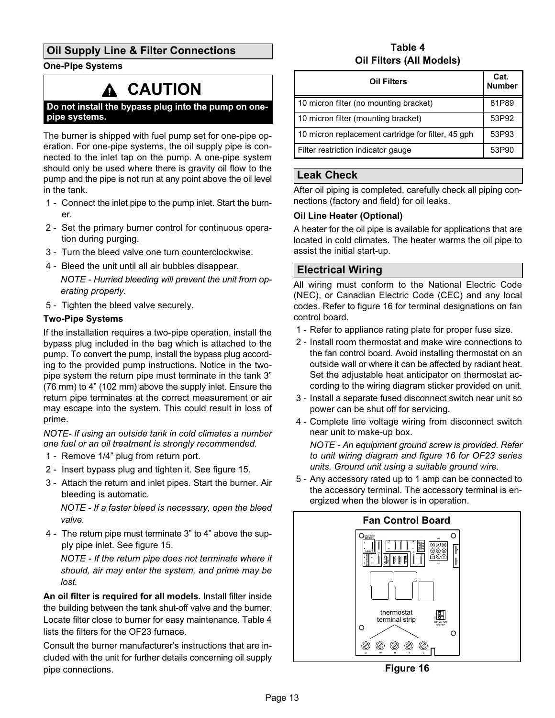# Oil Supply Line & Filter Connections

One−Pipe Systems

# CAUTION

Do not install the bypass plug into the pump on one− pipe systems.

The burner is shipped with fuel pump set for one−pipe operation. For one−pipe systems, the oil supply pipe is connected to the inlet tap on the pump. A one−pipe system should only be used where there is gravity oil flow to the pump and the pipe is not run at any point above the oil level in the tank.

- 1 − Connect the inlet pipe to the pump inlet. Start the burner.
- 2 − Set the primary burner control for continuous operation during purging.
- 3 − Turn the bleed valve one turn counterclockwise.
- 4 − Bleed the unit until all air bubbles disappear.

NOTE − Hurried bleeding will prevent the unit from operating properly.

5 - Tighten the bleed valve securely.

### Two−Pipe Systems

If the installation requires a two−pipe operation, install the bypass plug included in the bag which is attached to the pump. To convert the pump, install the bypass plug according to the provided pump instructions. Notice in the twopipe system the return pipe must terminate in the tank 3" (76 mm) to 4" (102 mm) above the supply inlet. Ensure the return pipe terminates at the correct measurement or air may escape into the system. This could result in loss of prime.

NOTE− If using an outside tank in cold climates a number one fuel or an oil treatment is strongly recommended.

- 1 Remove 1/4" plug from return port.
- 2 Insert bypass plug and tighten it. See figure [15](#page-11-0).
- 3 − Attach the return and inlet pipes. Start the burner. Air bleeding is automatic.

NOTE − If a faster bleed is necessary, open the bleed valve.

 4 − The return pipe must terminate 3" to 4" above the supply pipe inlet. See figure [15.](#page-11-0)

NOTE − If the return pipe does not terminate where it should, air may enter the system, and prime may be lost.

An oil filter is required for all models. Install filter inside the building between the tank shut-off valve and the burner. Locate filter close to burner for easy maintenance. Table 4 lists the filters for the OF23 furnace.

Consult the burner manufacturer's instructions that are included with the unit for further details concerning oil supply pipe connections.

### Table 4 Oil Filters (All Models)

| <b>Oil Filters</b>                                 | Cat.<br><b>Number</b> |
|----------------------------------------------------|-----------------------|
| 10 micron filter (no mounting bracket)             | 81P89                 |
| 10 micron filter (mounting bracket)                | 53P92                 |
| 10 micron replacement cartridge for filter, 45 gph | 53P93                 |
| Filter restriction indicator gauge                 | 53P90                 |

### Leak Check

After oil piping is completed, carefully check all piping connections (factory and field) for oil leaks.

### Oil Line Heater (Optional)

A heater for the oil pipe is available for applications that are located in cold climates. The heater warms the oil pipe to assist the initial start−up.

### Electrical Wiring

All wiring must conform to the National Electric Code (NEC), or Canadian Electric Code (CEC) and any local codes. Refer to figure 16 for terminal designations on fan control board.

- 1 Refer to appliance rating plate for proper fuse size.
- 2 − Install room thermostat and make wire connections to the fan control board. Avoid installing thermostat on an outside wall or where it can be affected by radiant heat. Set the adjustable heat anticipator on thermostat according to the wiring diagram sticker provided on unit.
- 3 − Install a separate fused disconnect switch near unit so power can be shut off for servicing.
- 4 − Complete line voltage wiring from disconnect switch near unit to make-up box.

NOTE − An equipment ground screw is provided. Refer to unit wiring diagram and figure 16 for OF23 series units. Ground unit using a suitable ground wire.

5 - Any accessory rated up to 1 amp can be connected to the accessory terminal. The accessory terminal is energized when the blower is in operation.



Figure 16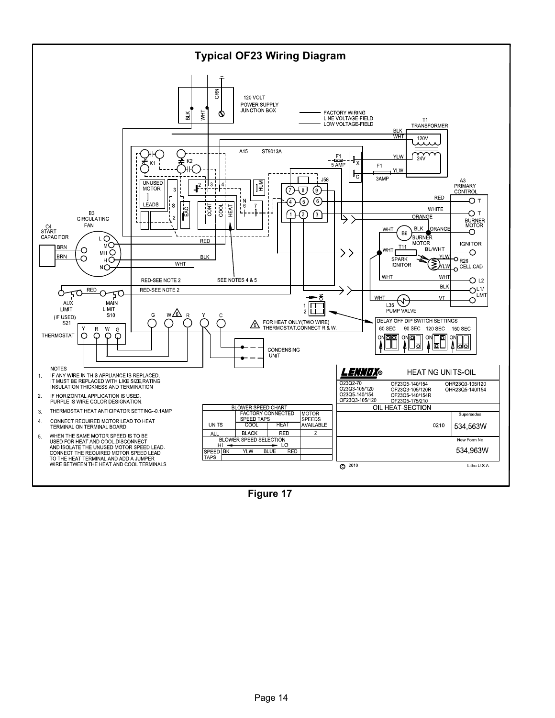

Figure 17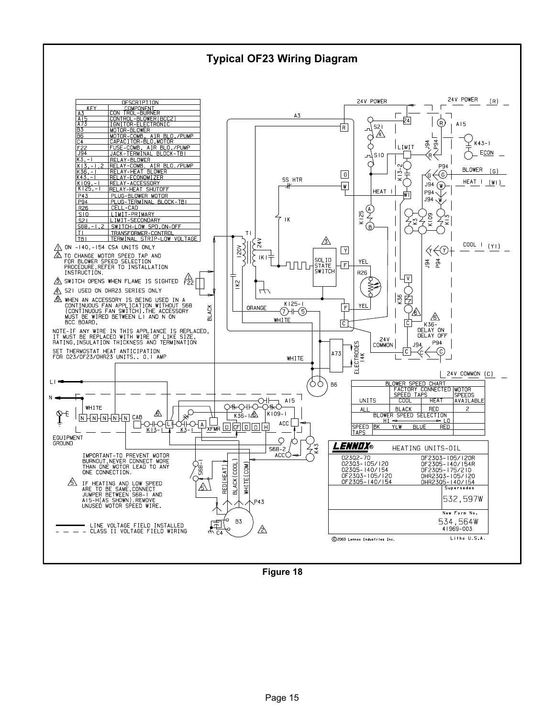# Typical OF23 Wiring Diagram



Figure 18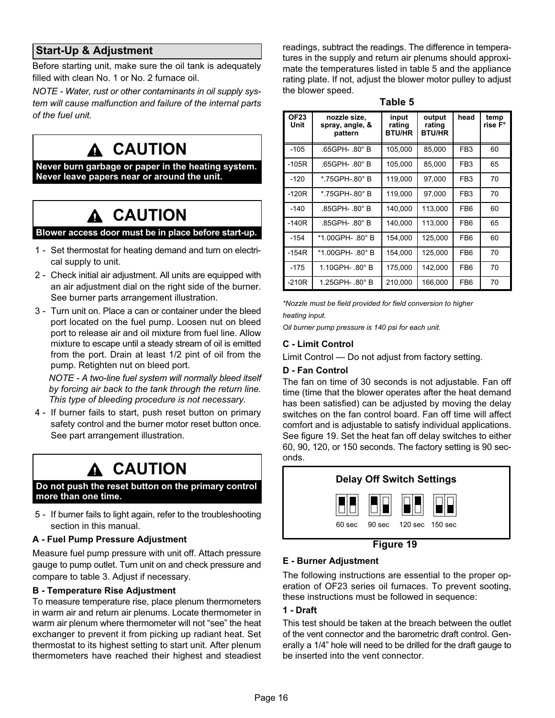# Start−Up & Adjustment

Before starting unit, make sure the oil tank is adequately filled with clean No. 1 or No. 2 furnace oil.

NOTE − Water, rust or other contaminants in oil supply system will cause malfunction and failure of the internal parts of the fuel unit.

# **A CAUTION**

Never burn garbage or paper in the heating system. Never leave papers near or around the unit.

# A CAUTION

#### Blower access door must be in place before start-up.

- 1 − Set thermostat for heating demand and turn on electrical supply to unit.
- 2 − Check initial air adjustment. All units are equipped with an air adjustment dial on the right side of the burner. See burner parts arrangement illustration.
- 3 − Turn unit on. Place a can or container under the bleed port located on the fuel pump. Loosen nut on bleed port to release air and oil mixture from fuel line. Allow mixture to escape until a steady stream of oil is emitted from the port. Drain at least 1/2 pint of oil from the pump. Retighten nut on bleed port.

NOTE − A two−line fuel system will normally bleed itself by forcing air back to the tank through the return line. This type of bleeding procedure is not necessary.

 4 − If burner fails to start, push reset button on primary safety control and the burner motor reset button once. See part arrangement illustration.

# A CAUTION

#### Do not push the reset button on the primary control more than one time.

 5 − If burner fails to light again, refer to the troubleshooting section in this manual.

#### A − Fuel Pump Pressure Adjustment

Measure fuel pump pressure with unit off. Attach pressure gauge to pump outlet. Turn unit on and check pressure and compare to table 3. Adjust if necessary.

#### B − Temperature Rise Adjustment

To measure temperature rise, place plenum thermometers in warm air and return air plenums. Locate thermometer in warm air plenum where thermometer will not "see" the heat exchanger to prevent it from picking up radiant heat. Set thermostat to its highest setting to start unit. After plenum thermometers have reached their highest and steadiest readings, subtract the readings. The difference in temperatures in the supply and return air plenums should approximate the temperatures listed in table 5 and the appliance rating plate. If not, adjust the blower motor pulley to adjust the blower speed.

Table 5

| <b>OF23</b><br>Unit | nozzle size,<br>spray, angle, &<br>pattern | input<br>rating<br><b>BTU/HR</b> | output<br>rating<br><b>BTU/HR</b> | head            | temp<br>rise F° |
|---------------------|--------------------------------------------|----------------------------------|-----------------------------------|-----------------|-----------------|
| $-105$              | .65GPH-.80° B                              | 105,000                          | 85,000                            | FB <sub>3</sub> | 60              |
| $-105R$             | .65GPH- .80° B                             | 105,000                          | 85,000                            | FB <sub>3</sub> | 65              |
| $-120$              | *.75GPH-.80° B                             | 119,000                          | 97,000                            | FB <sub>3</sub> | 70              |
| $-120R$             | *.75GPH-.80°B                              | 119,000                          | 97,000                            | FB <sub>3</sub> | 70              |
| $-140$              | .85GPH- .80° B                             | 140.000                          | 113,000                           | FB <sub>6</sub> | 60              |
| $-140R$             | .85GPH- .80° B                             | 140.000                          | 113,000                           | FB <sub>6</sub> | 65              |
| $-154$              | *1.00GPH-.80°B                             | 154.000                          | 125,000                           | FB <sub>6</sub> | 60              |
| $-154R$             | *1.00GPH-.80°B                             | 154,000                          | 125,000                           | FB <sub>6</sub> | 70              |
| $-175$              | 1.10GPH-.80°B                              | 175,000                          | 142,000                           | FB <sub>6</sub> | 70              |
| $-210R$             | 1.25GPH- .80° B                            | 210,000                          | 166,000                           | FB <sub>6</sub> | 70              |

\*Nozzle must be field provided for field conversion to higher heating input.

Oil burner pump pressure is 140 psi for each unit.

### C − Limit Control

Limit Control - Do not adjust from factory setting.

### D − Fan Control

The fan on time of 30 seconds is not adjustable. Fan off time (time that the blower operates after the heat demand has been satisfied) can be adjusted by moving the delay switches on the fan control board. Fan off time will affect comfort and is adjustable to satisfy individual applications. See figure 19. Set the heat fan off delay switches to either 60, 90, 120, or 150 seconds. The factory setting is 90 seconds.



Figure 19

### E − Burner Adjustment

The following instructions are essential to the proper operation of OF23 series oil furnaces. To prevent sooting, these instructions must be followed in sequence:

### 1 − Draft

This test should be taken at the breach between the outlet of the vent connector and the barometric draft control. Generally a 1/4" hole will need to be drilled for the draft gauge to be inserted into the vent connector.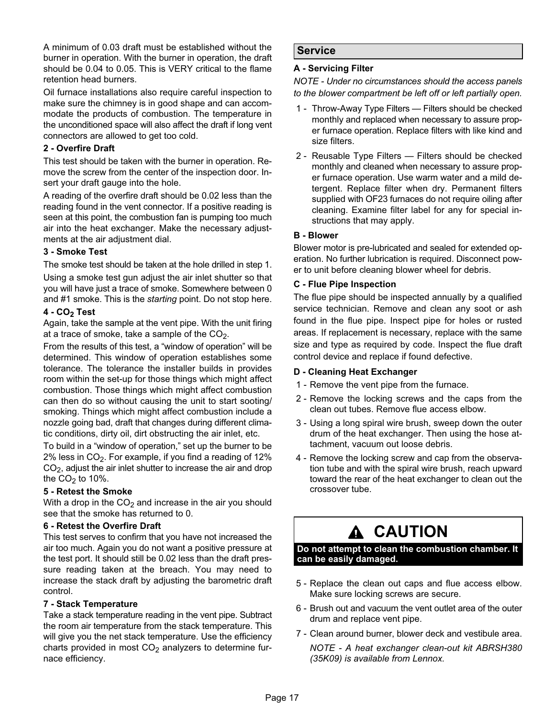A minimum of 0.03 draft must be established without the burner in operation. With the burner in operation, the draft should be 0.04 to 0.05. This is VERY critical to the flame retention head burners.

Oil furnace installations also require careful inspection to make sure the chimney is in good shape and can accommodate the products of combustion. The temperature in the unconditioned space will also affect the draft if long vent connectors are allowed to get too cold.

### 2 − Overfire Draft

This test should be taken with the burner in operation. Remove the screw from the center of the inspection door. Insert your draft gauge into the hole.

A reading of the overfire draft should be 0.02 less than the reading found in the vent connector. If a positive reading is seen at this point, the combustion fan is pumping too much air into the heat exchanger. Make the necessary adjustments at the air adjustment dial.

#### 3 − Smoke Test

The smoke test should be taken at the hole drilled in step 1.

Using a smoke test gun adjust the air inlet shutter so that you will have just a trace of smoke. Somewhere between 0 and #1 smoke. This is the starting point. Do not stop here.

#### 4 - CO<sub>2</sub> Test

Again, take the sample at the vent pipe. With the unit firing at a trace of smoke, take a sample of the  $CO<sub>2</sub>$ .

From the results of this test, a "window of operation" will be determined. This window of operation establishes some tolerance. The tolerance the installer builds in provides room within the set-up for those things which might affect combustion. Those things which might affect combustion can then do so without causing the unit to start sooting/ smoking. Things which might affect combustion include a nozzle going bad, draft that changes during different climatic conditions, dirty oil, dirt obstructing the air inlet, etc.

To build in a "window of operation," set up the burner to be  $2\%$  less in CO<sub>2</sub>. For example, if you find a reading of 12%  $CO<sub>2</sub>$ , adjust the air inlet shutter to increase the air and drop the  $CO<sub>2</sub>$  to 10%.

#### 5 − Retest the Smoke

With a drop in the  $CO<sub>2</sub>$  and increase in the air you should see that the smoke has returned to 0.

#### 6 − Retest the Overfire Draft

This test serves to confirm that you have not increased the air too much. Again you do not want a positive pressure at the test port. It should still be 0.02 less than the draft pressure reading taken at the breach. You may need to increase the stack draft by adjusting the barometric draft control.

### 7 − Stack Temperature

Take a stack temperature reading in the vent pipe. Subtract the room air temperature from the stack temperature. This will give you the net stack temperature. Use the efficiency charts provided in most  $CO<sub>2</sub>$  analyzers to determine furnace efficiency.

### Service

#### A − Servicing Filter

NOTE − Under no circumstances should the access panels to the blower compartment be left off or left partially open.

- 1 − Throw-Away Type Filters Filters should be checked monthly and replaced when necessary to assure proper furnace operation. Replace filters with like kind and size filters.
- 2 Reusable Type Filters Filters should be checked monthly and cleaned when necessary to assure proper furnace operation. Use warm water and a mild detergent. Replace filter when dry. Permanent filters supplied with OF23 furnaces do not require oiling after cleaning. Examine filter label for any for special instructions that may apply.

#### B − Blower

Blower motor is pre-lubricated and sealed for extended operation. No further lubrication is required. Disconnect power to unit before cleaning blower wheel for debris.

#### C − Flue Pipe Inspection

The flue pipe should be inspected annually by a qualified service technician. Remove and clean any soot or ash found in the flue pipe. Inspect pipe for holes or rusted areas. If replacement is necessary, replace with the same size and type as required by code. Inspect the flue draft control device and replace if found defective.

#### D − Cleaning Heat Exchanger

- 1 Remove the vent pipe from the furnace.
- 2 − Remove the locking screws and the caps from the clean out tubes. Remove flue access elbow.
- 3 − Using a long spiral wire brush, sweep down the outer drum of the heat exchanger. Then using the hose attachment, vacuum out loose debris.
- 4 − Remove the locking screw and cap from the observation tube and with the spiral wire brush, reach upward toward the rear of the heat exchanger to clean out the crossover tube.

# A CAUTION

Do not attempt to clean the combustion chamber. It can be easily damaged.

- 5 − Replace the clean out caps and flue access elbow. Make sure locking screws are secure.
- 6 − Brush out and vacuum the vent outlet area of the outer drum and replace vent pipe.
- 7 − Clean around burner, blower deck and vestibule area.

NOTE − A heat exchanger clean-out kit ABRSH380 (35K09) is available from Lennox.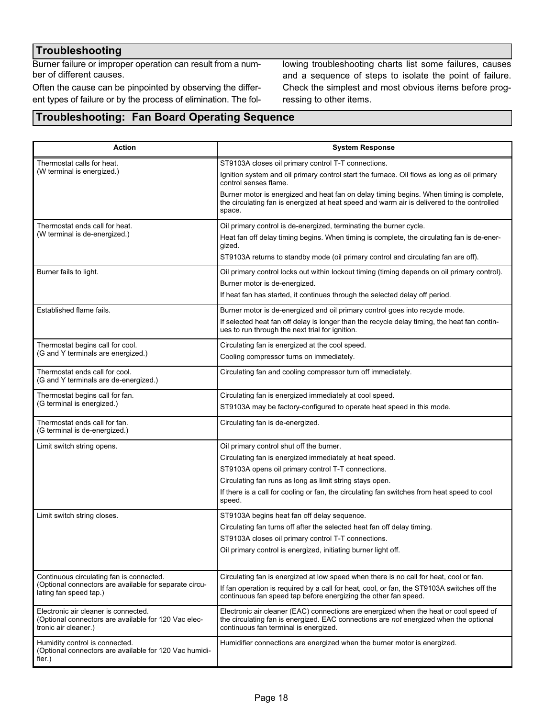# **Troubleshooting**

Burner failure or improper operation can result from a number of different causes.

Often the cause can be pinpointed by observing the different types of failure or by the process of elimination. The fol-

lowing troubleshooting charts list some failures, causes and a sequence of steps to isolate the point of failure. Check the simplest and most obvious items before progressing to other items.

### Troubleshooting: Fan Board Operating Sequence

| <b>Action</b>                                                                                                        | <b>System Response</b>                                                                                                                                                                                                  |  |  |  |  |
|----------------------------------------------------------------------------------------------------------------------|-------------------------------------------------------------------------------------------------------------------------------------------------------------------------------------------------------------------------|--|--|--|--|
| Thermostat calls for heat.                                                                                           | ST9103A closes oil primary control T-T connections.                                                                                                                                                                     |  |  |  |  |
| (W terminal is energized.)                                                                                           | Ignition system and oil primary control start the furnace. Oil flows as long as oil primary<br>control senses flame.                                                                                                    |  |  |  |  |
|                                                                                                                      | Burner motor is energized and heat fan on delay timing begins. When timing is complete,<br>the circulating fan is energized at heat speed and warm air is delivered to the controlled<br>space.                         |  |  |  |  |
| Thermostat ends call for heat.                                                                                       | Oil primary control is de-energized, terminating the burner cycle.                                                                                                                                                      |  |  |  |  |
| (W terminal is de-energized.)                                                                                        | Heat fan off delay timing begins. When timing is complete, the circulating fan is de-ener-<br>gized.                                                                                                                    |  |  |  |  |
|                                                                                                                      | ST9103A returns to standby mode (oil primary control and circulating fan are off).                                                                                                                                      |  |  |  |  |
| Burner fails to light.                                                                                               | Oil primary control locks out within lockout timing (timing depends on oil primary control).                                                                                                                            |  |  |  |  |
|                                                                                                                      | Burner motor is de-energized.                                                                                                                                                                                           |  |  |  |  |
|                                                                                                                      | If heat fan has started, it continues through the selected delay off period.                                                                                                                                            |  |  |  |  |
| Established flame fails.                                                                                             | Burner motor is de-energized and oil primary control goes into recycle mode.                                                                                                                                            |  |  |  |  |
|                                                                                                                      | If selected heat fan off delay is longer than the recycle delay timing, the heat fan contin-<br>ues to run through the next trial for ignition.                                                                         |  |  |  |  |
| Thermostat begins call for cool.                                                                                     | Circulating fan is energized at the cool speed.                                                                                                                                                                         |  |  |  |  |
| (G and Y terminals are energized.)                                                                                   | Cooling compressor turns on immediately.                                                                                                                                                                                |  |  |  |  |
| Thermostat ends call for cool.<br>(G and Y terminals are de-energized.)                                              | Circulating fan and cooling compressor turn off immediately.                                                                                                                                                            |  |  |  |  |
| Thermostat begins call for fan.                                                                                      | Circulating fan is energized immediately at cool speed.                                                                                                                                                                 |  |  |  |  |
| (G terminal is energized.)                                                                                           | ST9103A may be factory-configured to operate heat speed in this mode.                                                                                                                                                   |  |  |  |  |
| Thermostat ends call for fan.<br>(G terminal is de-energized.)                                                       | Circulating fan is de-energized.                                                                                                                                                                                        |  |  |  |  |
| Limit switch string opens.                                                                                           | Oil primary control shut off the burner.                                                                                                                                                                                |  |  |  |  |
|                                                                                                                      | Circulating fan is energized immediately at heat speed.                                                                                                                                                                 |  |  |  |  |
|                                                                                                                      | ST9103A opens oil primary control T-T connections.                                                                                                                                                                      |  |  |  |  |
|                                                                                                                      | Circulating fan runs as long as limit string stays open.                                                                                                                                                                |  |  |  |  |
|                                                                                                                      | If there is a call for cooling or fan, the circulating fan switches from heat speed to cool<br>speed.                                                                                                                   |  |  |  |  |
| Limit switch string closes.                                                                                          | ST9103A begins heat fan off delay sequence.                                                                                                                                                                             |  |  |  |  |
|                                                                                                                      | Circulating fan turns off after the selected heat fan off delay timing.                                                                                                                                                 |  |  |  |  |
|                                                                                                                      | ST9103A closes oil primary control T-T connections.                                                                                                                                                                     |  |  |  |  |
|                                                                                                                      | Oil primary control is energized, initiating burner light off.                                                                                                                                                          |  |  |  |  |
| Continuous circulating fan is connected.                                                                             | Circulating fan is energized at low speed when there is no call for heat, cool or fan.                                                                                                                                  |  |  |  |  |
| (Optional connectors are available for separate circu-<br>lating fan speed tap.)                                     | If fan operation is required by a call for heat, cool, or fan, the ST9103A switches off the<br>continuous fan speed tap before energizing the other fan speed.                                                          |  |  |  |  |
| Electronic air cleaner is connected.<br>(Optional connectors are available for 120 Vac elec-<br>tronic air cleaner.) | Electronic air cleaner (EAC) connections are energized when the heat or cool speed of<br>the circulating fan is energized. EAC connections are not energized when the optional<br>continuous fan terminal is energized. |  |  |  |  |
| Humidity control is connected.<br>(Optional connectors are available for 120 Vac humidi-<br>fier.)                   | Humidifier connections are energized when the burner motor is energized.                                                                                                                                                |  |  |  |  |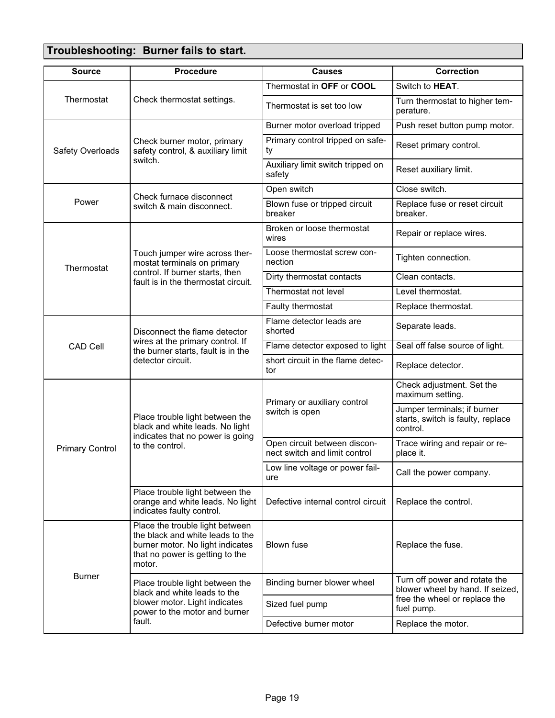# Troubleshooting: Burner fails to start.

| <b>Source</b>          | <b>Procedure</b>                                                                                                                                     | <b>Causes</b>                                                 | <b>Correction</b>                                                            |  |
|------------------------|------------------------------------------------------------------------------------------------------------------------------------------------------|---------------------------------------------------------------|------------------------------------------------------------------------------|--|
|                        |                                                                                                                                                      | Thermostat in OFF or COOL                                     | Switch to <b>HEAT</b> .                                                      |  |
| Thermostat             | Check thermostat settings.                                                                                                                           | Thermostat is set too low                                     | Turn thermostat to higher tem-<br>perature.                                  |  |
|                        |                                                                                                                                                      | Burner motor overload tripped                                 | Push reset button pump motor.                                                |  |
| Safety Overloads       | Check burner motor, primary<br>safety control, & auxiliary limit                                                                                     | Primary control tripped on safe-<br>ty                        | Reset primary control.                                                       |  |
|                        | switch.                                                                                                                                              | Auxiliary limit switch tripped on<br>safety                   | Reset auxiliary limit.                                                       |  |
|                        | Check furnace disconnect                                                                                                                             | Open switch                                                   | Close switch.                                                                |  |
| Power                  | switch & main disconnect.                                                                                                                            | Blown fuse or tripped circuit<br>breaker                      | Replace fuse or reset circuit<br>breaker.                                    |  |
|                        |                                                                                                                                                      | Broken or loose thermostat<br>wires                           | Repair or replace wires.                                                     |  |
| Thermostat             | Touch jumper wire across ther-<br>mostat terminals on primary                                                                                        | Loose thermostat screw con-<br>nection                        | Tighten connection.                                                          |  |
|                        | control. If burner starts, then<br>fault is in the thermostat circuit.                                                                               | Dirty thermostat contacts                                     | Clean contacts.                                                              |  |
|                        |                                                                                                                                                      | Thermostat not level                                          | Level thermostat.                                                            |  |
|                        |                                                                                                                                                      | Faulty thermostat                                             | Replace thermostat.                                                          |  |
|                        | Disconnect the flame detector                                                                                                                        | Flame detector leads are<br>shorted                           | Separate leads.                                                              |  |
| <b>CAD Cell</b>        | wires at the primary control. If<br>the burner starts, fault is in the                                                                               | Flame detector exposed to light                               | Seal off false source of light.                                              |  |
|                        | detector circuit.                                                                                                                                    | short circuit in the flame detec-<br>tor                      | Replace detector.                                                            |  |
|                        |                                                                                                                                                      | Primary or auxiliary control                                  | Check adjustment. Set the<br>maximum setting.                                |  |
|                        | Place trouble light between the<br>black and white leads. No light<br>indicates that no power is going                                               | switch is open                                                | Jumper terminals; if burner<br>starts, switch is faulty, replace<br>control. |  |
| <b>Primary Control</b> | to the control.                                                                                                                                      | Open circuit between discon-<br>nect switch and limit control | Trace wiring and repair or re-<br>place it.                                  |  |
|                        |                                                                                                                                                      | Low line voltage or power fail-<br>ure                        | Call the power company.                                                      |  |
|                        | Place trouble light between the<br>orange and white leads. No light<br>indicates faulty control.                                                     | Defective internal control circuit                            | Replace the control.                                                         |  |
| <b>Burner</b>          | Place the trouble light between<br>the black and white leads to the<br>burner motor. No light indicates<br>that no power is getting to the<br>motor. | <b>Blown fuse</b>                                             | Replace the fuse.                                                            |  |
|                        | Place trouble light between the<br>black and white leads to the                                                                                      | Binding burner blower wheel                                   | Turn off power and rotate the<br>blower wheel by hand. If seized,            |  |
|                        | blower motor. Light indicates<br>power to the motor and burner                                                                                       | Sized fuel pump                                               | free the wheel or replace the<br>fuel pump.                                  |  |
|                        | fault.                                                                                                                                               | Defective burner motor                                        | Replace the motor.                                                           |  |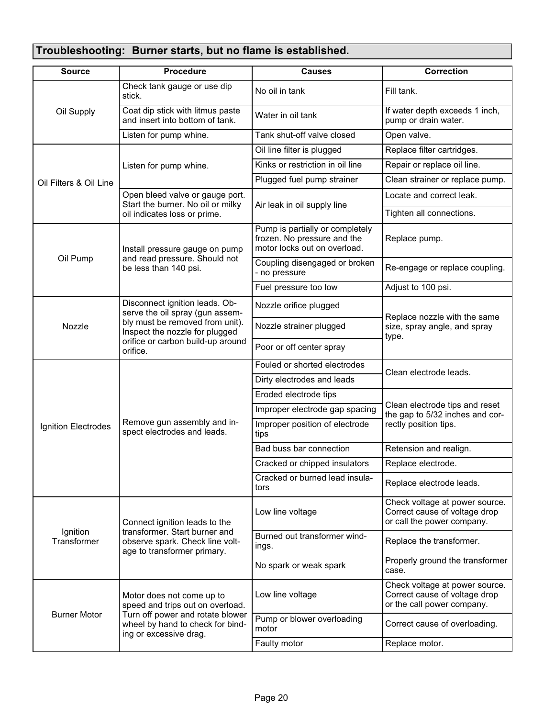# Troubleshooting: Burner starts, but no flame is established.

| <b>Source</b>           | <b>Procedure</b>                                                                                | <b>Causes</b>                                                                                  | <b>Correction</b>                                                                             |  |  |
|-------------------------|-------------------------------------------------------------------------------------------------|------------------------------------------------------------------------------------------------|-----------------------------------------------------------------------------------------------|--|--|
|                         | Check tank gauge or use dip<br>stick.                                                           | No oil in tank                                                                                 | Fill tank.                                                                                    |  |  |
| Oil Supply              | Coat dip stick with litmus paste<br>and insert into bottom of tank.                             | Water in oil tank                                                                              | If water depth exceeds 1 inch,<br>pump or drain water.                                        |  |  |
|                         | Listen for pump whine.                                                                          | Tank shut-off valve closed                                                                     | Open valve.                                                                                   |  |  |
|                         |                                                                                                 | Oil line filter is plugged                                                                     | Replace filter cartridges.                                                                    |  |  |
|                         | Listen for pump whine.                                                                          | Kinks or restriction in oil line                                                               | Repair or replace oil line.                                                                   |  |  |
| Oil Filters & Oil Line  |                                                                                                 | Plugged fuel pump strainer                                                                     | Clean strainer or replace pump.                                                               |  |  |
|                         | Open bleed valve or gauge port.                                                                 |                                                                                                | Locate and correct leak.                                                                      |  |  |
|                         | Start the burner. No oil or milky<br>oil indicates loss or prime.                               | Air leak in oil supply line                                                                    | Tighten all connections.                                                                      |  |  |
|                         | Install pressure gauge on pump                                                                  | Pump is partially or completely<br>frozen. No pressure and the<br>motor locks out on overload. | Replace pump.                                                                                 |  |  |
| Oil Pump                | and read pressure. Should not<br>be less than 140 psi.                                          | Coupling disengaged or broken<br>- no pressure                                                 | Re-engage or replace coupling.                                                                |  |  |
|                         |                                                                                                 | Fuel pressure too low                                                                          | Adjust to 100 psi.                                                                            |  |  |
|                         | Disconnect ignition leads. Ob-<br>serve the oil spray (gun assem-                               | Nozzle orifice plugged                                                                         | Replace nozzle with the same                                                                  |  |  |
| Nozzle                  | bly must be removed from unit).<br>Inspect the nozzle for plugged                               | Nozzle strainer plugged                                                                        | size, spray angle, and spray<br>type.                                                         |  |  |
|                         | orifice or carbon build-up around<br>orifice.                                                   | Poor or off center spray                                                                       |                                                                                               |  |  |
|                         |                                                                                                 | Fouled or shorted electrodes                                                                   | Clean electrode leads.                                                                        |  |  |
|                         |                                                                                                 | Dirty electrodes and leads                                                                     |                                                                                               |  |  |
|                         | Remove gun assembly and in-<br>spect electrodes and leads.                                      | Eroded electrode tips                                                                          |                                                                                               |  |  |
|                         |                                                                                                 | Improper electrode gap spacing                                                                 | Clean electrode tips and reset<br>the gap to 5/32 inches and cor-                             |  |  |
| Ignition Electrodes     |                                                                                                 | Improper position of electrode<br>tips                                                         | rectly position tips.                                                                         |  |  |
|                         |                                                                                                 | Bad buss bar connection                                                                        | Retension and realign.                                                                        |  |  |
|                         |                                                                                                 | Cracked or chipped insulators                                                                  | Replace electrode.                                                                            |  |  |
|                         |                                                                                                 | Cracked or burned lead insula-<br>tors                                                         | Replace electrode leads.                                                                      |  |  |
| Ignition<br>Transformer | Connect ignition leads to the                                                                   | Low line voltage                                                                               | Check voltage at power source.<br>Correct cause of voltage drop<br>or call the power company. |  |  |
|                         | transformer. Start burner and<br>observe spark. Check line volt-<br>age to transformer primary. | Burned out transformer wind-<br>ings.                                                          | Replace the transformer.                                                                      |  |  |
|                         |                                                                                                 | No spark or weak spark                                                                         | Properly ground the transformer<br>case.                                                      |  |  |
|                         | Motor does not come up to<br>speed and trips out on overload.                                   | Low line voltage                                                                               | Check voltage at power source.<br>Correct cause of voltage drop<br>or the call power company. |  |  |
| <b>Burner Motor</b>     | Turn off power and rotate blower<br>wheel by hand to check for bind-<br>ing or excessive drag.  | Pump or blower overloading<br>motor                                                            | Correct cause of overloading.                                                                 |  |  |
|                         |                                                                                                 | Faulty motor                                                                                   | Replace motor.                                                                                |  |  |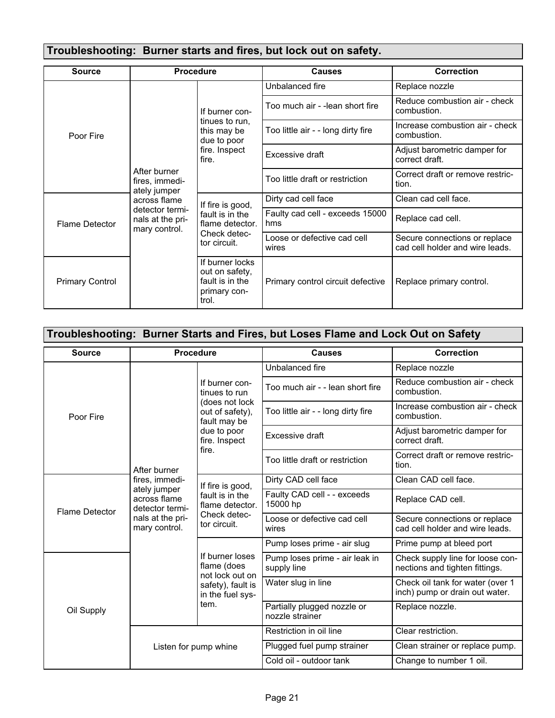# Troubleshooting: Burner starts and fires, but lock out on safety.

| <b>Source</b>          | <b>Procedure</b>                                                                                                       |                                                                                          | <b>Causes</b>                          | <b>Correction</b>                                                |
|------------------------|------------------------------------------------------------------------------------------------------------------------|------------------------------------------------------------------------------------------|----------------------------------------|------------------------------------------------------------------|
| Poor Fire              | After burner<br>fires, immedi-<br>ately jumper<br>across flame<br>detector termi-<br>nals at the pri-<br>mary control. | If burner con-<br>tinues to run,<br>this may be<br>due to poor<br>fire. Inspect<br>fire. | Unbalanced fire                        | Replace nozzle                                                   |
|                        |                                                                                                                        |                                                                                          | Too much air - -lean short fire        | Reduce combustion air - check<br>combustion.                     |
|                        |                                                                                                                        |                                                                                          | Too little air - - long dirty fire     | Increase combustion air - check<br>combustion.                   |
|                        |                                                                                                                        |                                                                                          | Excessive draft                        | Adjust barometric damper for<br>correct draft.                   |
|                        |                                                                                                                        |                                                                                          | Too little draft or restriction        | Correct draft or remove restric-<br>tion.                        |
| Flame Detector         |                                                                                                                        | If fire is good,<br>fault is in the<br>flame detector.<br>Check detec-<br>tor circuit.   | Dirty cad cell face                    | Clean cad cell face.                                             |
|                        |                                                                                                                        |                                                                                          | Faulty cad cell - exceeds 15000<br>hms | Replace cad cell.                                                |
|                        |                                                                                                                        |                                                                                          | Loose or defective cad cell<br>wires   | Secure connections or replace<br>cad cell holder and wire leads. |
| <b>Primary Control</b> |                                                                                                                        | If burner locks<br>out on safety,<br>fault is in the<br>primary con-<br>trol.            | Primary control circuit defective      | Replace primary control.                                         |

| Troubleshooting: Burner Starts and Fires, but Loses Flame and Lock Out on Safety |                                                                                                                        |                                                                                                                               |                                                |                                                                    |  |
|----------------------------------------------------------------------------------|------------------------------------------------------------------------------------------------------------------------|-------------------------------------------------------------------------------------------------------------------------------|------------------------------------------------|--------------------------------------------------------------------|--|
| <b>Source</b>                                                                    | Procedure                                                                                                              |                                                                                                                               | <b>Causes</b>                                  | <b>Correction</b>                                                  |  |
| Poor Fire                                                                        | After burner<br>fires, immedi-<br>ately jumper<br>across flame<br>detector termi-<br>nals at the pri-<br>mary control. | If burner con-<br>tinues to run<br>(does not lock<br>out of safety),<br>fault may be<br>due to poor<br>fire. Inspect<br>fire. | Unbalanced fire                                | Replace nozzle                                                     |  |
|                                                                                  |                                                                                                                        |                                                                                                                               | Too much air - - lean short fire               | Reduce combustion air - check<br>combustion.                       |  |
|                                                                                  |                                                                                                                        |                                                                                                                               | Too little air - - long dirty fire             | Increase combustion air - check<br>combustion.                     |  |
|                                                                                  |                                                                                                                        |                                                                                                                               | Excessive draft                                | Adjust barometric damper for<br>correct draft.                     |  |
|                                                                                  |                                                                                                                        |                                                                                                                               | Too little draft or restriction                | Correct draft or remove restric-<br>tion.                          |  |
| <b>Flame Detector</b>                                                            |                                                                                                                        | If fire is good,<br>fault is in the<br>flame detector.<br>Check detec-<br>tor circuit.                                        | Dirty CAD cell face                            | Clean CAD cell face.                                               |  |
|                                                                                  |                                                                                                                        |                                                                                                                               | Faulty CAD cell - - exceeds<br>15000 hp        | Replace CAD cell.                                                  |  |
|                                                                                  |                                                                                                                        |                                                                                                                               | Loose or defective cad cell<br>wires           | Secure connections or replace<br>cad cell holder and wire leads.   |  |
|                                                                                  |                                                                                                                        | If burner loses<br>flame (does<br>not lock out on<br>safety), fault is<br>in the fuel sys-<br>tem.                            | Pump loses prime - air slug                    | Prime pump at bleed port                                           |  |
| Oil Supply                                                                       |                                                                                                                        |                                                                                                                               | Pump loses prime - air leak in<br>supply line  | Check supply line for loose con-<br>nections and tighten fittings. |  |
|                                                                                  |                                                                                                                        |                                                                                                                               | Water slug in line                             | Check oil tank for water (over 1<br>inch) pump or drain out water. |  |
|                                                                                  |                                                                                                                        |                                                                                                                               | Partially plugged nozzle or<br>nozzle strainer | Replace nozzle.                                                    |  |
|                                                                                  | Listen for pump whine                                                                                                  |                                                                                                                               | Restriction in oil line                        | Clear restriction.                                                 |  |
|                                                                                  |                                                                                                                        |                                                                                                                               | Plugged fuel pump strainer                     | Clean strainer or replace pump.                                    |  |
|                                                                                  |                                                                                                                        |                                                                                                                               | Cold oil - outdoor tank                        | Change to number 1 oil.                                            |  |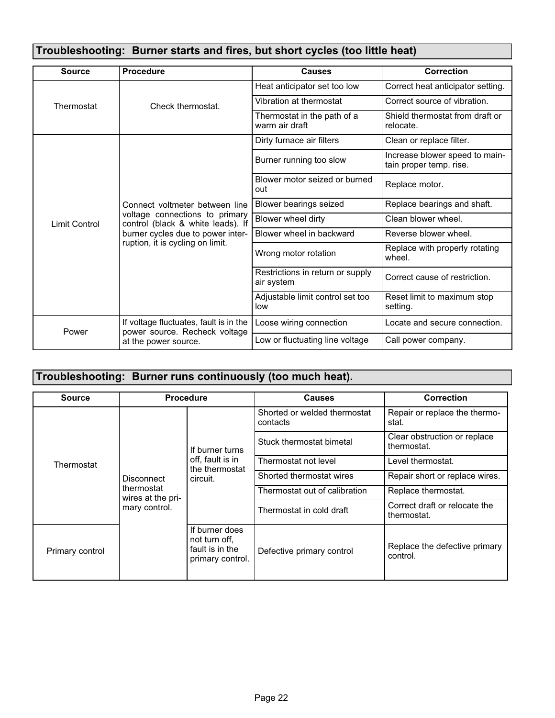| Troubleshooting: Burner starts and fires, but short cycles (too little heat) |                                                                                                                                                                                |                                                |                                                           |  |
|------------------------------------------------------------------------------|--------------------------------------------------------------------------------------------------------------------------------------------------------------------------------|------------------------------------------------|-----------------------------------------------------------|--|
| <b>Source</b>                                                                | Procedure                                                                                                                                                                      | <b>Causes</b>                                  | <b>Correction</b>                                         |  |
| Thermostat                                                                   | Check thermostat.                                                                                                                                                              | Heat anticipator set too low                   | Correct heat anticipator setting.                         |  |
|                                                                              |                                                                                                                                                                                | Vibration at thermostat                        | Correct source of vibration.                              |  |
|                                                                              |                                                                                                                                                                                | Thermostat in the path of a<br>warm air draft  | Shield thermostat from draft or<br>relocate.              |  |
|                                                                              |                                                                                                                                                                                | Dirty furnace air filters                      | Clean or replace filter.                                  |  |
|                                                                              |                                                                                                                                                                                | Burner running too slow                        | Increase blower speed to main-<br>tain proper temp. rise. |  |
|                                                                              |                                                                                                                                                                                | Blower motor seized or burned<br>out           | Replace motor.                                            |  |
|                                                                              | Connect voltmeter between line<br>voltage connections to primary<br>control (black & white leads). If<br>burner cycles due to power inter-<br>ruption, it is cycling on limit. | Blower bearings seized                         | Replace bearings and shaft.                               |  |
| Limit Control                                                                |                                                                                                                                                                                | Blower wheel dirty                             | Clean blower wheel.                                       |  |
|                                                                              |                                                                                                                                                                                | Blower wheel in backward                       | Reverse blower wheel.                                     |  |
|                                                                              |                                                                                                                                                                                | Wrong motor rotation                           | Replace with properly rotating<br>wheel.                  |  |
|                                                                              |                                                                                                                                                                                | Restrictions in return or supply<br>air system | Correct cause of restriction.                             |  |
|                                                                              |                                                                                                                                                                                | Adjustable limit control set too<br>low        | Reset limit to maximum stop<br>setting.                   |  |
| Power                                                                        | If voltage fluctuates, fault is in the                                                                                                                                         | Loose wiring connection                        | Locate and secure connection.                             |  |
|                                                                              | power source. Recheck voltage<br>at the power source.                                                                                                                          | Low or fluctuating line voltage                | Call power company.                                       |  |

# Troubleshooting: Burner runs continuously (too much heat).

| <b>Source</b>   | <b>Procedure</b>                                                      |                                                                        | Causes                                   | <b>Correction</b>                            |
|-----------------|-----------------------------------------------------------------------|------------------------------------------------------------------------|------------------------------------------|----------------------------------------------|
| Thermostat      | <b>Disconnect</b><br>thermostat<br>wires at the pri-<br>mary control. | If burner turns<br>off, fault is in<br>the thermostat<br>circuit.      | Shorted or welded thermostat<br>contacts | Repair or replace the thermo-<br>stat.       |
|                 |                                                                       |                                                                        | Stuck thermostat bimetal                 | Clear obstruction or replace<br>thermostat.  |
|                 |                                                                       |                                                                        | Thermostat not level                     | Level thermostat.                            |
|                 |                                                                       |                                                                        | Shorted thermostat wires                 | Repair short or replace wires.               |
|                 |                                                                       |                                                                        | Thermostat out of calibration            | Replace thermostat.                          |
|                 |                                                                       |                                                                        | Thermostat in cold draft                 | Correct draft or relocate the<br>thermostat. |
| Primary control |                                                                       | If burner does<br>not turn off.<br>fault is in the<br>primary control. | Defective primary control                | Replace the defective primary<br>control.    |